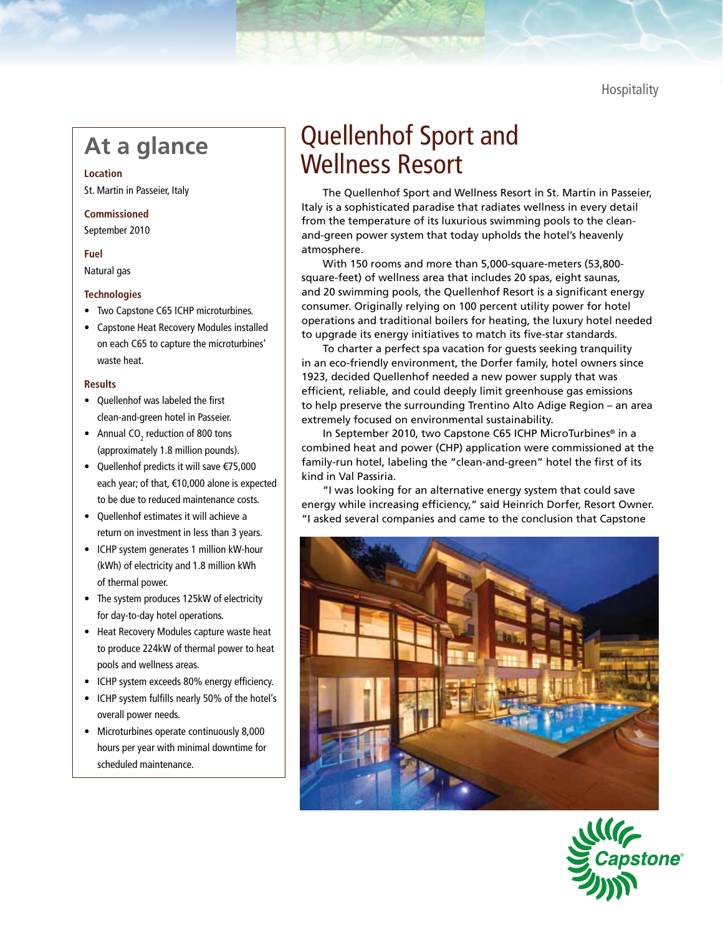**Hospitality** 

## **At a glance**

**Location** St. Martin in Passeier, Italy

**Commissioned** September 2010

### **Fuel**

Natural gas

#### **Technologies**

- • Two Capstone C65 ICHP microturbines.
- Capstone Heat Recovery Modules installed on each C65 to capture the microturbines' waste heat.

#### **Results**

- • Quellenhof was labeled the first clean-and-green hotel in Passeier.
- Annual CO<sub>2</sub> reduction of 800 tons (approximately 1.8 million pounds).
- • Quellenhof predicts it will save €75,000 each year; of that, €10,000 alone is expected to be due to reduced maintenance costs.
- • Quellenhof estimates it will achieve a return on investment in less than 3 years.
- • ICHP system generates 1 million kW-hour (kWh) of electricity and 1.8 million kWh of thermal power.
- The system produces 125kW of electricity for day-to-day hotel operations.
- Heat Recovery Modules capture waste heat to produce 224kW of thermal power to heat pools and wellness areas.
- • ICHP system exceeds 80% energy efficiency.
- • ICHP system fulfills nearly 50% of the hotel's overall power needs.
- Microturbines operate continuously 8,000 hours per year with minimal downtime for scheduled maintenance.

# Quellenhof Sport and Wellness Resort

The Quellenhof Sport and Wellness Resort in St. Martin in Passeier, Italy is a sophisticated paradise that radiates wellness in every detail from the temperature of its luxurious swimming pools to the cleanand-green power system that today upholds the hotel's heavenly atmosphere.

With 150 rooms and more than 5,000-square-meters (53,800 square-feet) of wellness area that includes 20 spas, eight saunas, and 20 swimming pools, the Quellenhof Resort is a significant energy consumer. Originally relying on 100 percent utility power for hotel operations and traditional boilers for heating, the luxury hotel needed to upgrade its energy initiatives to match its five-star standards.

To charter a perfect spa vacation for guests seeking tranquility in an eco-friendly environment, the Dorfer family, hotel owners since 1923, decided Quellenhof needed a new power supply that was efficient, reliable, and could deeply limit greenhouse gas emissions to help preserve the surrounding Trentino Alto Adige Region – an area extremely focused on environmental sustainability.

In September 2010, two Capstone C65 ICHP MicroTurbines® in a combined heat and power (CHP) application were commissioned at the family-run hotel, labeling the "clean-and-green" hotel the first of its kind in Val Passiria.

"I was looking for an alternative energy system that could save energy while increasing efficiency," said Heinrich Dorfer, Resort Owner. "I asked several companies and came to the conclusion that Capstone